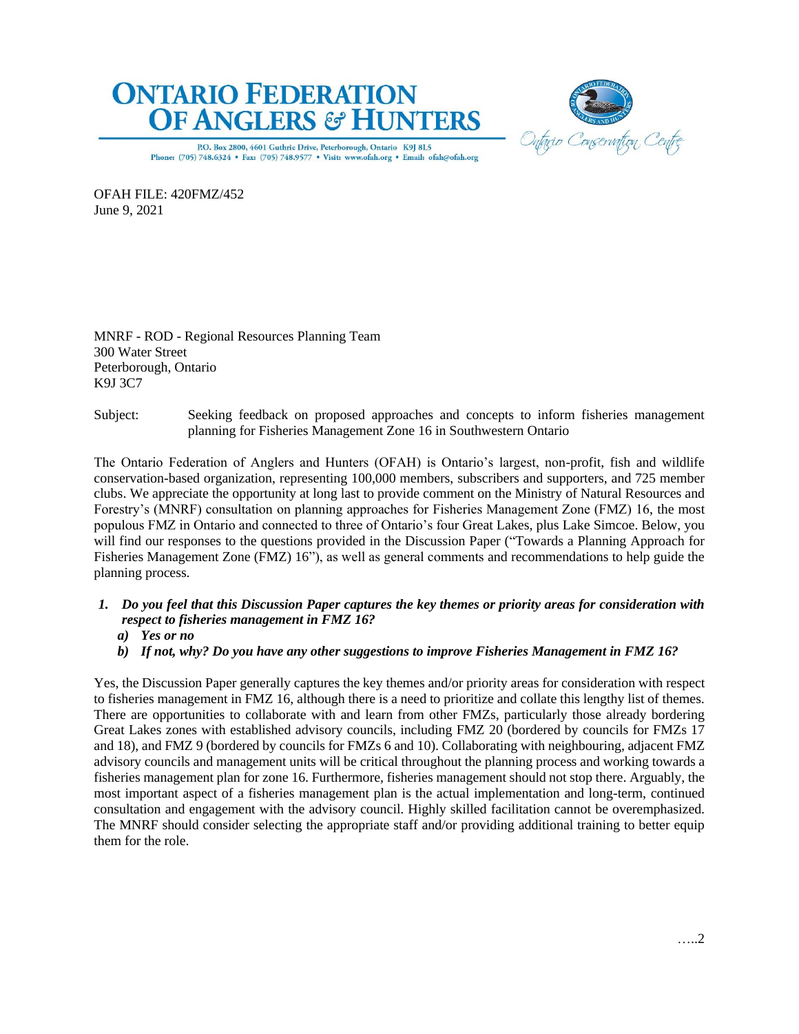



P.O. Box 2800, 4601 Guthrie Drive, Peterborough, Ontario K9J 8L5 Phone: (705) 748.6324 . Fax: (705) 748.9577 . Visit: www.ofah.org . Email: ofah@ofah.org

OFAH FILE: 420FMZ/452 June 9, 2021

MNRF - ROD - Regional Resources Planning Team 300 Water Street Peterborough, Ontario K9J 3C7

Subject: Seeking feedback on proposed approaches and concepts to inform fisheries management planning for Fisheries Management Zone 16 in Southwestern Ontario

The Ontario Federation of Anglers and Hunters (OFAH) is Ontario's largest, non-profit, fish and wildlife conservation-based organization, representing 100,000 members, subscribers and supporters, and 725 member clubs. We appreciate the opportunity at long last to provide comment on the Ministry of Natural Resources and Forestry's (MNRF) consultation on planning approaches for Fisheries Management Zone (FMZ) 16, the most populous FMZ in Ontario and connected to three of Ontario's four Great Lakes, plus Lake Simcoe. Below, you will find our responses to the questions provided in the Discussion Paper ("Towards a Planning Approach for Fisheries Management Zone (FMZ) 16"), as well as general comments and recommendations to help guide the planning process.

- *1. Do you feel that this Discussion Paper captures the key themes or priority areas for consideration with respect to fisheries management in FMZ 16?* 
	- *a) Yes or no*
	- *b) If not, why? Do you have any other suggestions to improve Fisheries Management in FMZ 16?*

Yes, the Discussion Paper generally captures the key themes and/or priority areas for consideration with respect to fisheries management in FMZ 16, although there is a need to prioritize and collate this lengthy list of themes. There are opportunities to collaborate with and learn from other FMZs, particularly those already bordering Great Lakes zones with established advisory councils, including FMZ 20 (bordered by councils for FMZs 17 and 18), and FMZ 9 (bordered by councils for FMZs 6 and 10). Collaborating with neighbouring, adjacent FMZ advisory councils and management units will be critical throughout the planning process and working towards a fisheries management plan for zone 16. Furthermore, fisheries management should not stop there. Arguably, the most important aspect of a fisheries management plan is the actual implementation and long-term, continued consultation and engagement with the advisory council. Highly skilled facilitation cannot be overemphasized. The MNRF should consider selecting the appropriate staff and/or providing additional training to better equip them for the role.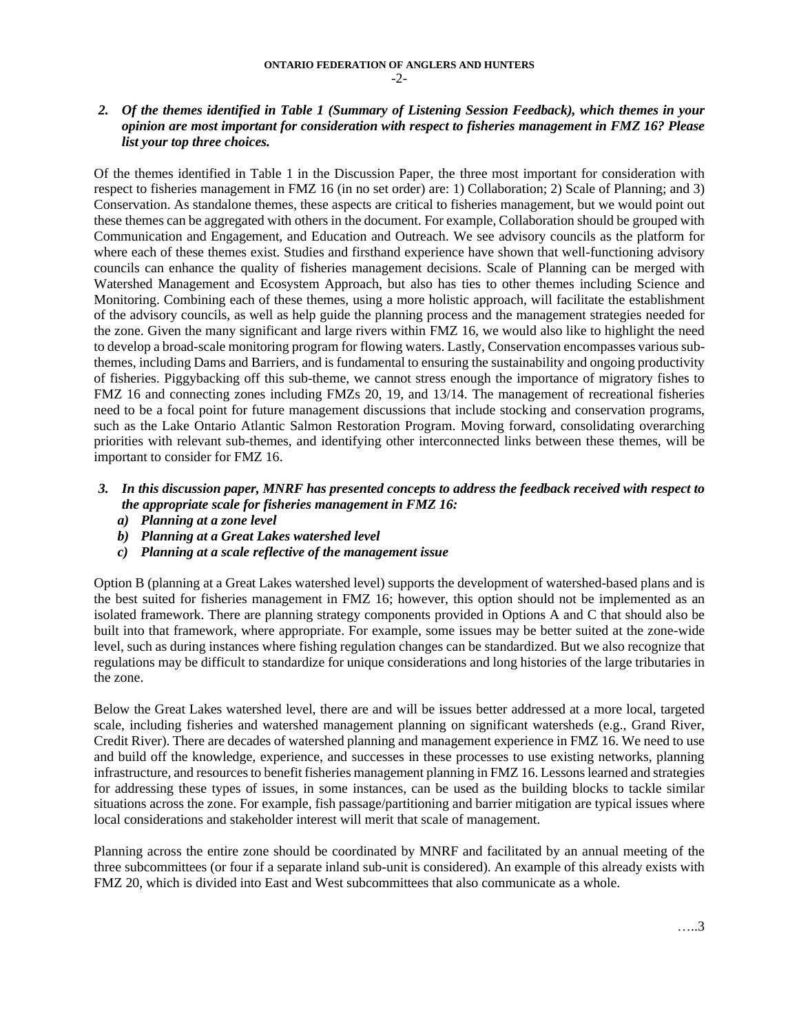## *2. Of the themes identified in Table 1 (Summary of Listening Session Feedback), which themes in your opinion are most important for consideration with respect to fisheries management in FMZ 16? Please list your top three choices.*

Of the themes identified in Table 1 in the Discussion Paper, the three most important for consideration with respect to fisheries management in FMZ 16 (in no set order) are: 1) Collaboration; 2) Scale of Planning; and 3) Conservation. As standalone themes, these aspects are critical to fisheries management, but we would point out these themes can be aggregated with others in the document. For example, Collaboration should be grouped with Communication and Engagement, and Education and Outreach. We see advisory councils as the platform for where each of these themes exist. Studies and firsthand experience have shown that well-functioning advisory councils can enhance the quality of fisheries management decisions. Scale of Planning can be merged with Watershed Management and Ecosystem Approach, but also has ties to other themes including Science and Monitoring. Combining each of these themes, using a more holistic approach, will facilitate the establishment of the advisory councils, as well as help guide the planning process and the management strategies needed for the zone. Given the many significant and large rivers within FMZ 16, we would also like to highlight the need to develop a broad-scale monitoring program for flowing waters. Lastly, Conservation encompasses various subthemes, including Dams and Barriers, and is fundamental to ensuring the sustainability and ongoing productivity of fisheries. Piggybacking off this sub-theme, we cannot stress enough the importance of migratory fishes to FMZ 16 and connecting zones including FMZs 20, 19, and 13/14. The management of recreational fisheries need to be a focal point for future management discussions that include stocking and conservation programs, such as the Lake Ontario Atlantic Salmon Restoration Program. Moving forward, consolidating overarching priorities with relevant sub-themes, and identifying other interconnected links between these themes, will be important to consider for FMZ 16.

# *3. In this discussion paper, MNRF has presented concepts to address the feedback received with respect to the appropriate scale for fisheries management in FMZ 16:*

- *a) Planning at a zone level*
- *b) Planning at a Great Lakes watershed level*
- *c) Planning at a scale reflective of the management issue*

Option B (planning at a Great Lakes watershed level) supports the development of watershed-based plans and is the best suited for fisheries management in FMZ 16; however, this option should not be implemented as an isolated framework. There are planning strategy components provided in Options A and C that should also be built into that framework, where appropriate. For example, some issues may be better suited at the zone-wide level, such as during instances where fishing regulation changes can be standardized. But we also recognize that regulations may be difficult to standardize for unique considerations and long histories of the large tributaries in the zone.

Below the Great Lakes watershed level, there are and will be issues better addressed at a more local, targeted scale, including fisheries and watershed management planning on significant watersheds (e.g., Grand River, Credit River). There are decades of watershed planning and management experience in FMZ 16. We need to use and build off the knowledge, experience, and successes in these processes to use existing networks, planning infrastructure, and resources to benefit fisheries management planning in FMZ 16. Lessons learned and strategies for addressing these types of issues, in some instances, can be used as the building blocks to tackle similar situations across the zone. For example, fish passage/partitioning and barrier mitigation are typical issues where local considerations and stakeholder interest will merit that scale of management.

Planning across the entire zone should be coordinated by MNRF and facilitated by an annual meeting of the three subcommittees (or four if a separate inland sub-unit is considered). An example of this already exists with FMZ 20, which is divided into East and West subcommittees that also communicate as a whole.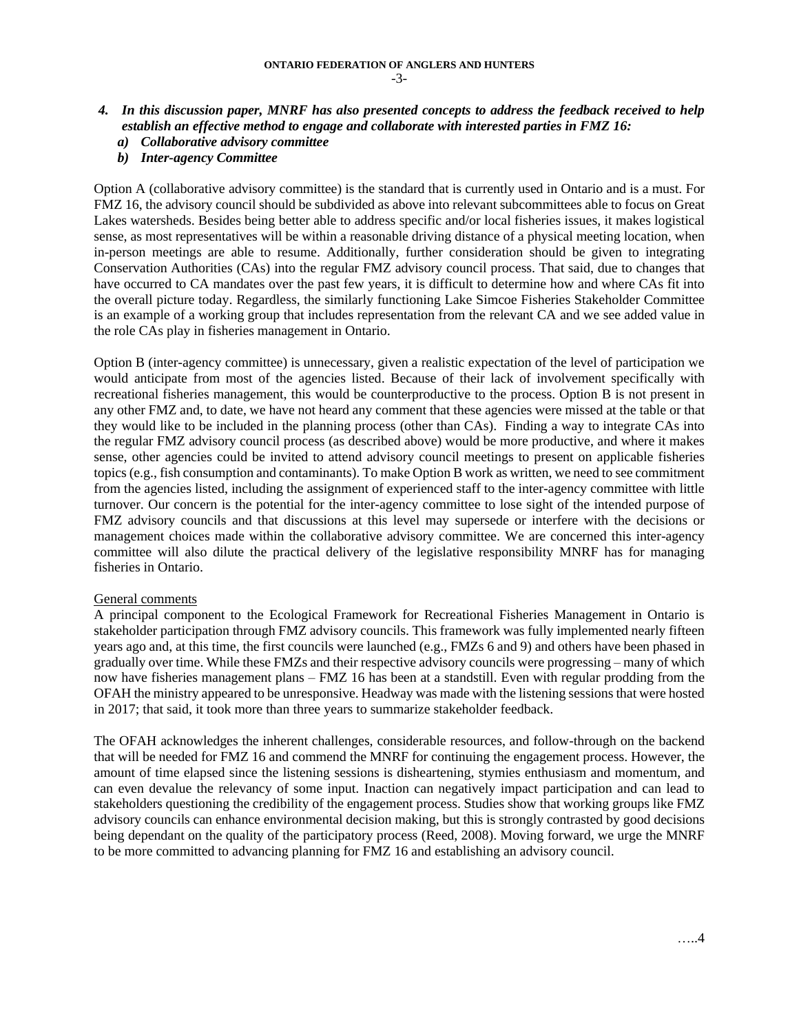### *4. In this discussion paper, MNRF has also presented concepts to address the feedback received to help establish an effective method to engage and collaborate with interested parties in FMZ 16:*

- *a) Collaborative advisory committee*
- *b) Inter-agency Committee*

Option A (collaborative advisory committee) is the standard that is currently used in Ontario and is a must. For FMZ 16, the advisory council should be subdivided as above into relevant subcommittees able to focus on Great Lakes watersheds. Besides being better able to address specific and/or local fisheries issues, it makes logistical sense, as most representatives will be within a reasonable driving distance of a physical meeting location, when in-person meetings are able to resume. Additionally, further consideration should be given to integrating Conservation Authorities (CAs) into the regular FMZ advisory council process. That said, due to changes that have occurred to CA mandates over the past few years, it is difficult to determine how and where CAs fit into the overall picture today. Regardless, the similarly functioning Lake Simcoe Fisheries Stakeholder Committee is an example of a working group that includes representation from the relevant CA and we see added value in the role CAs play in fisheries management in Ontario.

Option B (inter-agency committee) is unnecessary, given a realistic expectation of the level of participation we would anticipate from most of the agencies listed. Because of their lack of involvement specifically with recreational fisheries management, this would be counterproductive to the process. Option B is not present in any other FMZ and, to date, we have not heard any comment that these agencies were missed at the table or that they would like to be included in the planning process (other than CAs). Finding a way to integrate CAs into the regular FMZ advisory council process (as described above) would be more productive, and where it makes sense, other agencies could be invited to attend advisory council meetings to present on applicable fisheries topics (e.g., fish consumption and contaminants). To make Option B work as written, we need to see commitment from the agencies listed, including the assignment of experienced staff to the inter-agency committee with little turnover. Our concern is the potential for the inter-agency committee to lose sight of the intended purpose of FMZ advisory councils and that discussions at this level may supersede or interfere with the decisions or management choices made within the collaborative advisory committee. We are concerned this inter-agency committee will also dilute the practical delivery of the legislative responsibility MNRF has for managing fisheries in Ontario.

#### General comments

A principal component to the Ecological Framework for Recreational Fisheries Management in Ontario is stakeholder participation through FMZ advisory councils. This framework was fully implemented nearly fifteen years ago and, at this time, the first councils were launched (e.g., FMZs 6 and 9) and others have been phased in gradually over time. While these FMZs and their respective advisory councils were progressing – many of which now have fisheries management plans – FMZ 16 has been at a standstill. Even with regular prodding from the OFAH the ministry appeared to be unresponsive. Headway was made with the listening sessions that were hosted in 2017; that said, it took more than three years to summarize stakeholder feedback.

The OFAH acknowledges the inherent challenges, considerable resources, and follow-through on the backend that will be needed for FMZ 16 and commend the MNRF for continuing the engagement process. However, the amount of time elapsed since the listening sessions is disheartening, stymies enthusiasm and momentum, and can even devalue the relevancy of some input. Inaction can negatively impact participation and can lead to stakeholders questioning the credibility of the engagement process. Studies show that working groups like FMZ advisory councils can enhance environmental decision making, but this is strongly contrasted by good decisions being dependant on the quality of the participatory process (Reed, 2008). Moving forward, we urge the MNRF to be more committed to advancing planning for FMZ 16 and establishing an advisory council.